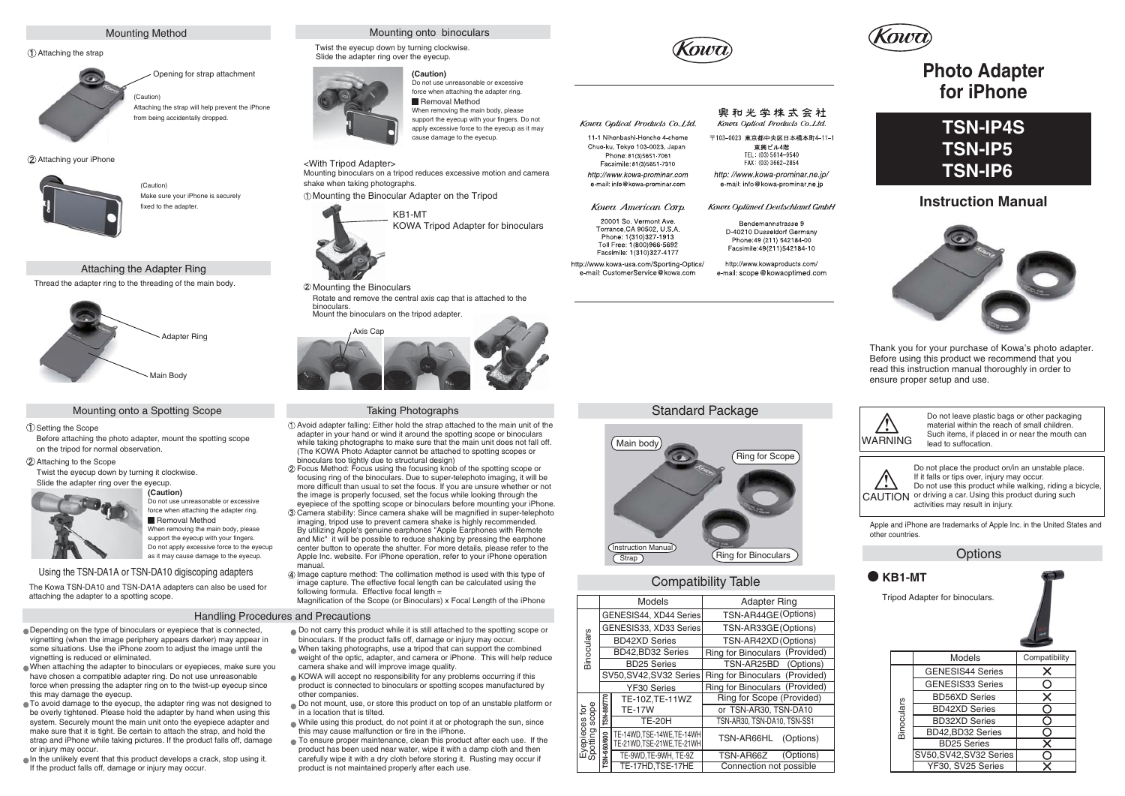# Mounting Method

# Attaching the strap



Opening for strap attachment (Caution)

Attaching the strap will help prevent the iPhone from being accidentally dropped.

(2) Attaching your iPhone



(Caution) Make sure your iPhone is securely fixed to the adapter

# Attaching the Adapter Ring

Thread the adapter ring to the threading of the main body.



## Mounting onto a Spotting Scope

### Setting the Scope

Before attaching the photo adapter, mount the spotting scope on the tripod for normal observation.

# Attaching to the Scope

Twist the eyecup down by turning it clockwise. Slide the adapter ring over the eyecup.



Do not use unreasonable or excessive force when attaching the adapter ring. Removal Method When removing the main body, please

support the eyecup with your fingers. Do not apply excessive force to the evecup as it may cause damage to the eyecup.

# Using the TSN-DA1A or TSN-DA10 digiscoping adapters

The Kowa TSN-DA10 and TSN-DA1A adapters can also be used for attaching the adapter to a spotting scope.

## Handling Procedures and Precautions

- Depending on the type of binoculars or eyepiece that is connected, vignetting (when the image periphery appears darker) may appear in some situations. Use the iPhone zoom to adjust the image until the vignetting is reduced or eliminated.
- When attaching the adapter to binoculars or eyepieces, make sure you have chosen a compatible adapter ring. Do not use unreasonable force when pressing the adapter ring on to the twist-up eyecup since this may damage the eyecup.
- To avoid damage to the eyecup, the adapter ring was not designed to be overly tightened. Please hold the adapter by hand when using this system. Securely mount the main unit onto the eveniece adapter and make sure that it is tight. Be certain to attach the strap, and hold the strap and iPhone while taking pictures. If the product falls off, damage or injury may occur.
- In the unlikely event that this product develops a crack, stop using it. If the product falls off, damage or injury may occur.



Twist the eyecup down by turning clockwise. Slide the adapter ring over the eyecup.

# **(Caution)**



Do not use unreasonable or excessive force when attaching the adapter ring. Removal Method When removing the main body, please support the eyecup with your fingers. Do not apply excessive force to the eyecup as it may cause damage to the eyecup.

KOWA Tripod Adapter for binoculars

## <With Tripod Adapter>

Mounting binoculars on a tripod reduces excessive motion and camera shake when taking photographs.

Mounting the Binocular Adapter on the Tripod

KB1-MT



Mounting the Binoculars Rotate and remove the central axis cap that is attached to the binoculars.



## Taking Photographs

- Avoid adapter falling: Either hold the strap attached to the main unit of the adapter in your hand or wind it around the spotting scope or binoculars while taking photographs to make sure that the main unit does not fall off. (The KOWA Photo Adapter cannot be attached to spotting scopes or binoculars too tightly due to structural design)
- Focus Method: Focus using the focusing knob of the spotting scope or focusing ring of the binoculars. Due to super-telephoto imaging, it will be more difficult than usual to set the focus. If you are unsure whether or not the image is properly focused, set the focus while looking through the eyepiece of the spotting scope or binoculars before mounting your iPhone. Camera stability: Since camera shake will be magnified in super-telephoto imaging, tripod use to prevent camera shake is highly recommended. By utilizing Apple's genuine earphones "Apple Earphones with Remote and Mic" it will be possible to reduce shaking by pressing the earphone center button to operate the shutter. For more details, please refer to the
- Apple Inc. website. For iPhone operation, refer to your iPhone operation manual. Image capture method: The collimation method is used with this type of
- image capture. The effective focal length can be calculated using the following formula. Effective focal length = Magnification of the Scope (or Binoculars) x Focal Length of the iPhone

- Do not carry this product while it is still attached to the spotting scope or binoculars. If the product falls off, damage or injury may occur.
- When taking photographs, use a tripod that can support the combined weight of the optic, adapter, and camera or iPhone. This will help reduce camera shake and will improve image quality.
- KOWA will accept no responsibility for any problems occurring if this product is connected to binoculars or spotting scopes manufactured by other companies.
- Do not mount, use, or store this product on top of an unstable platform or in a location that is tilted.
- While using this product, do not point it at or photograph the sun, since this may cause malfunction or fire in the iPhone.
- To ensure proper maintenance, clean this product after each use. If the product has been used near water, wipe it with a damp cloth and then carefully wipe it with a dry cloth before storing it. Rusting may occur if product is not maintained properly after each use.



## 興和光学株式会社 Kowa Optical Products Co. Ltd.

〒103-0023 東京都中央区日本橋本町4-11-1 東興ビル4階 TEL: (03) 5614-9540 FAX: (03) 3662-2854

http://www.kowa-prominar.ne.ip/ e-mail: info@kowa-prominar.ne.in

Kowa Optimed Deutschland GmbH

Bendemannstrasse 9 D-40210 Dusseldorf Germany Phone: 49 (211) 542184-00 Facsimile: 49/211)542184-10

http://www.kowaproducts.com/ e-mail: scope@kowaoptimed.com



# **Instruction Manual**



Thank you for your purchase of Kowa's photo adapter. Before using this product we recommend that you read this instruction manual thoroughly in order to ensure proper setup and use.

Do not leave plastic bags or other packaging



# Compatibility Table

|                                 |                             | <b>Models</b>            | <b>Adapter Ring</b>            |  | Tripod Adapter for binoculars. |                       |
|---------------------------------|-----------------------------|--------------------------|--------------------------------|--|--------------------------------|-----------------------|
| <b>Binoculars</b>               | GENESIS44, XD44 Series      |                          | TSN-AR44GE(Options)            |  |                                |                       |
|                                 | GENESIS33, XD33 Series      |                          | TSN-AR33GE(Options)            |  |                                |                       |
|                                 | <b>BD42XD Series</b>        |                          | TSN-AR42XD (Options)           |  |                                |                       |
|                                 |                             | BD42, BD32 Series        | Ring for Binoculars (Provided) |  |                                | <b>Models</b>         |
|                                 |                             | <b>BD25 Series</b>       | TSN-AR25BD<br>(Options)        |  |                                |                       |
|                                 | SV50, SV42, SV32 Series     |                          | Ring for Binoculars (Provided) |  |                                | <b>GENESIS44 Seri</b> |
|                                 |                             | YF30 Series              | Ring for Binoculars (Provided) |  |                                | GENESIS33 Seri        |
| Eyepieces for<br>Spotting scope |                             | TE-10Z.TE-11WZ           | Ring for Scope (Provided)      |  |                                | <b>BD56XD Series</b>  |
|                                 | SN-880/770<br><b>TE-17W</b> |                          | or TSN-AR30, TSN-DA10          |  |                                | <b>BD42XD Series</b>  |
|                                 |                             | <b>TE-20H</b>            | TSN-AR30. TSN-DA10. TSN-SS1    |  | Binoculars                     | <b>BD32XD Series</b>  |
|                                 |                             | TE-14WD.TSE-14WE.TE-14WH | TSN-AR66HL<br>(Options)        |  |                                | BD42.BD32 Serie       |
|                                 | 660/600                     | TE-21WD TSE-21WE TE-21WH |                                |  |                                | <b>BD25 Series</b>    |
|                                 |                             | TE-9WD.TE-9WH.TE-9Z      | (Options)<br>TSN-AR66Z         |  |                                | SV50, SV42, SV32 S    |
|                                 | r                           | TE-17HD.TSE-17HE         | Connection not possible        |  |                                | YF30, SV25 Seri       |



Options Apple and iPhone are trademarks of Apple Inc. in the United States and other countries.

| ັບມີແບບ    |                         |                                          |  |  |  |  |  |
|------------|-------------------------|------------------------------------------|--|--|--|--|--|
|            |                         |                                          |  |  |  |  |  |
| Models     |                         | Compatibility                            |  |  |  |  |  |
|            | <b>GENESIS44 Series</b> | X                                        |  |  |  |  |  |
| Binoculars | <b>GENESIS33 Series</b> | Ĉ,                                       |  |  |  |  |  |
|            | <b>BD56XD Series</b>    | $\overline{\mathsf{x}}$                  |  |  |  |  |  |
|            | <b>BD42XD Series</b>    |                                          |  |  |  |  |  |
|            | <b>BD32XD Series</b>    |                                          |  |  |  |  |  |
|            | BD42, BD32 Series       |                                          |  |  |  |  |  |
|            | <b>BD25 Series</b>      |                                          |  |  |  |  |  |
|            | SV50, SV42, SV32 Series |                                          |  |  |  |  |  |
|            | YF30, SV25 Series       |                                          |  |  |  |  |  |
|            |                         | KB1-MT<br>Tripod Adapter for binoculars. |  |  |  |  |  |

Mount the binoculars on the tripod adapter.





# **Photo Adapter for iPhone**





Kowa Optical Products Co. Ltd.

11-1 Nihonbashi-Honcho 4-chome

Chuo-ku. Tokyo 103-0023. Japan

Phone: 81/3)5651-7061

Facsimile: 1(310)327-4177